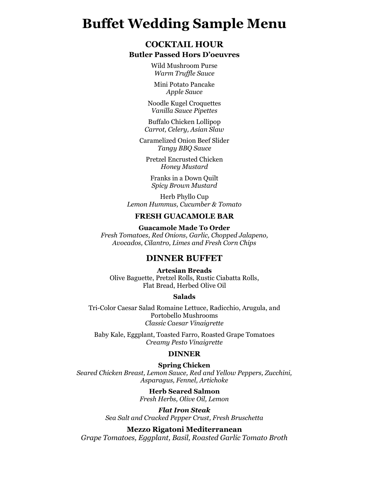# **Buffet Wedding Sample Menu**

# **COCKTAIL HOUR**

#### **Butler Passed Hors D'oeuvres**

Wild Mushroom Purse *Warm Truffle Sauce*

Mini Potato Pancake *Apple Sauce*

Noodle Kugel Croquettes *Vanilla Sauce Pipettes*

Buffalo Chicken Lollipop *Carrot, Celery, Asian Slaw*

Caramelized Onion Beef Slider *Tangy BBQ Sauce*

Pretzel Encrusted Chicken *Honey Mustard*

Franks in a Down Quilt *Spicy Brown Mustard*

Herb Phyllo Cup *Lemon Hummus, Cucumber & Tomato*

#### **FRESH GUACAMOLE BAR**

**Guacamole Made To Order** *Fresh Tomatoes, Red Onions, Garlic, Chopped Jalapeno, Avocados, Cilantro, Limes and Fresh Corn Chips*

## **DINNER BUFFET**

**Artesian Breads** Olive Baguette, Pretzel Rolls, Rustic Ciabatta Rolls, Flat Bread, Herbed Olive Oil

#### **Salads**

Tri-Color Caesar Salad Romaine Lettuce, Radicchio, Arugula, and Portobello Mushrooms *Classic Caesar Vinaigrette* 

Baby Kale, Eggplant, Toasted Farro, Roasted Grape Tomatoes *Creamy Pesto Vinaigrette*

#### **DINNER**

#### **Spring Chicken**

*Seared Chicken Breast, Lemon Sauce, Red and Yellow Peppers, Zucchini, Asparagus, Fennel, Artichoke* 

> **Herb Seared Salmon** *Fresh Herbs, Olive Oil, Lemon*

*Flat Iron Steak Sea Salt and Cracked Pepper Crust, Fresh Bruschetta*

### **Mezzo Rigatoni Mediterranean**

*Grape Tomatoes, Eggplant, Basil, Roasted Garlic Tomato Broth*